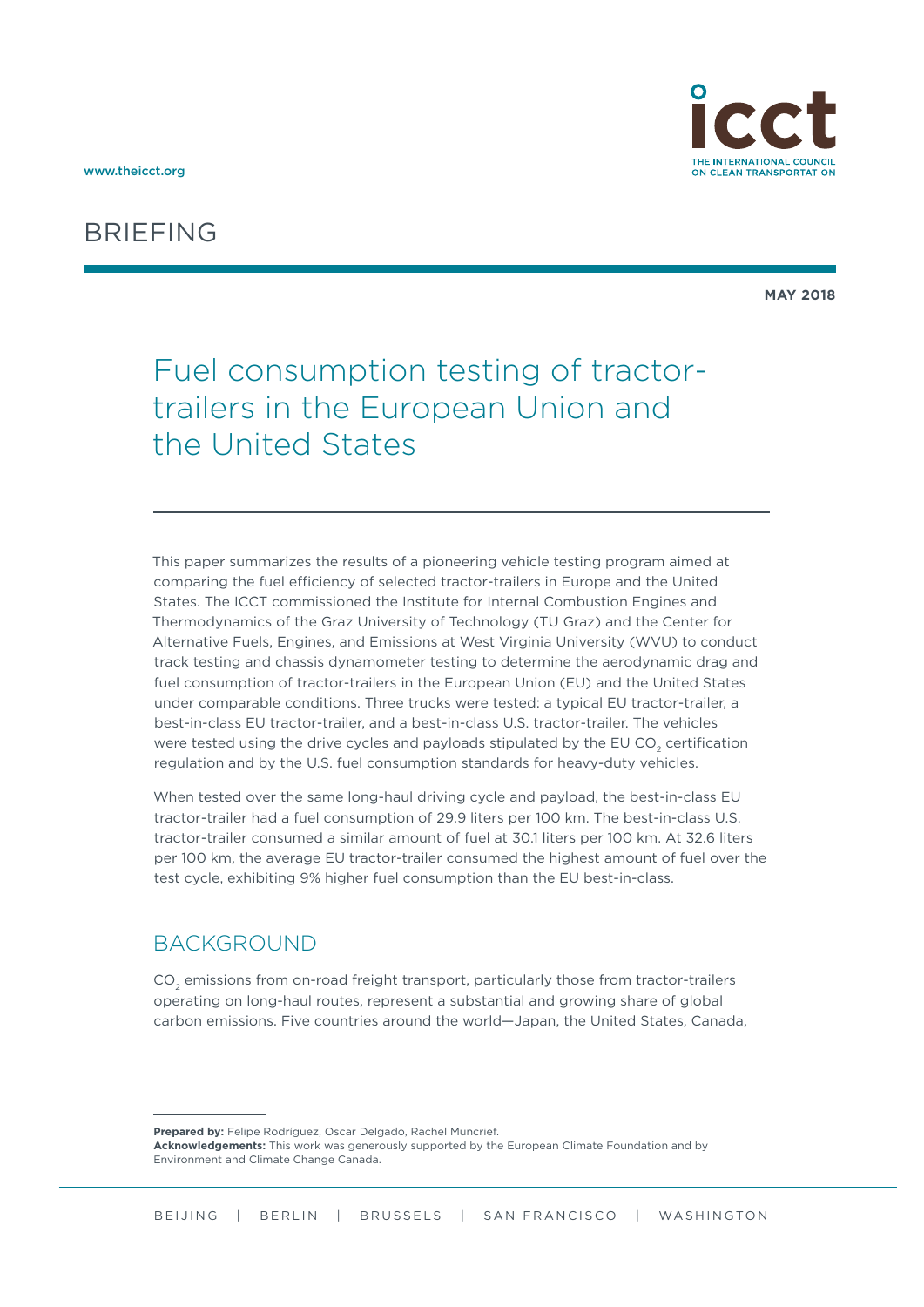



**MAY 2018**

# Fuel consumption testing of tractortrailers in the European Union and the United States

This paper summarizes the results of a pioneering vehicle testing program aimed at comparing the fuel efficiency of selected tractor-trailers in Europe and the United States. The ICCT commissioned the Institute for Internal Combustion Engines and Thermodynamics of the Graz University of Technology (TU Graz) and the Center for Alternative Fuels, Engines, and Emissions at West Virginia University (WVU) to conduct track testing and chassis dynamometer testing to determine the aerodynamic drag and fuel consumption of tractor-trailers in the European Union (EU) and the United States under comparable conditions. Three trucks were tested: a typical EU tractor-trailer, a best-in-class EU tractor-trailer, and a best-in-class U.S. tractor-trailer. The vehicles were tested using the drive cycles and payloads stipulated by the EU CO<sub>2</sub> certification regulation and by the U.S. fuel consumption standards for heavy-duty vehicles.

When tested over the same long-haul driving cycle and payload, the best-in-class EU tractor-trailer had a fuel consumption of 29.9 liters per 100 km. The best-in-class U.S. tractor-trailer consumed a similar amount of fuel at 30.1 liters per 100 km. At 32.6 liters per 100 km, the average EU tractor-trailer consumed the highest amount of fuel over the test cycle, exhibiting 9% higher fuel consumption than the EU best-in-class.

#### **BACKGROUND**

CO<sub>2</sub> emissions from on-road freight transport, particularly those from tractor-trailers operating on long-haul routes, represent a substantial and growing share of global carbon emissions. Five countries around the world—Japan, the United States, Canada,

**Prepared by:** Felipe Rodríguez, Oscar Delgado, Rachel Muncrief. **Acknowledgements:** This work was generously supported by the European Climate Foundation and by Environment and Climate Change Canada.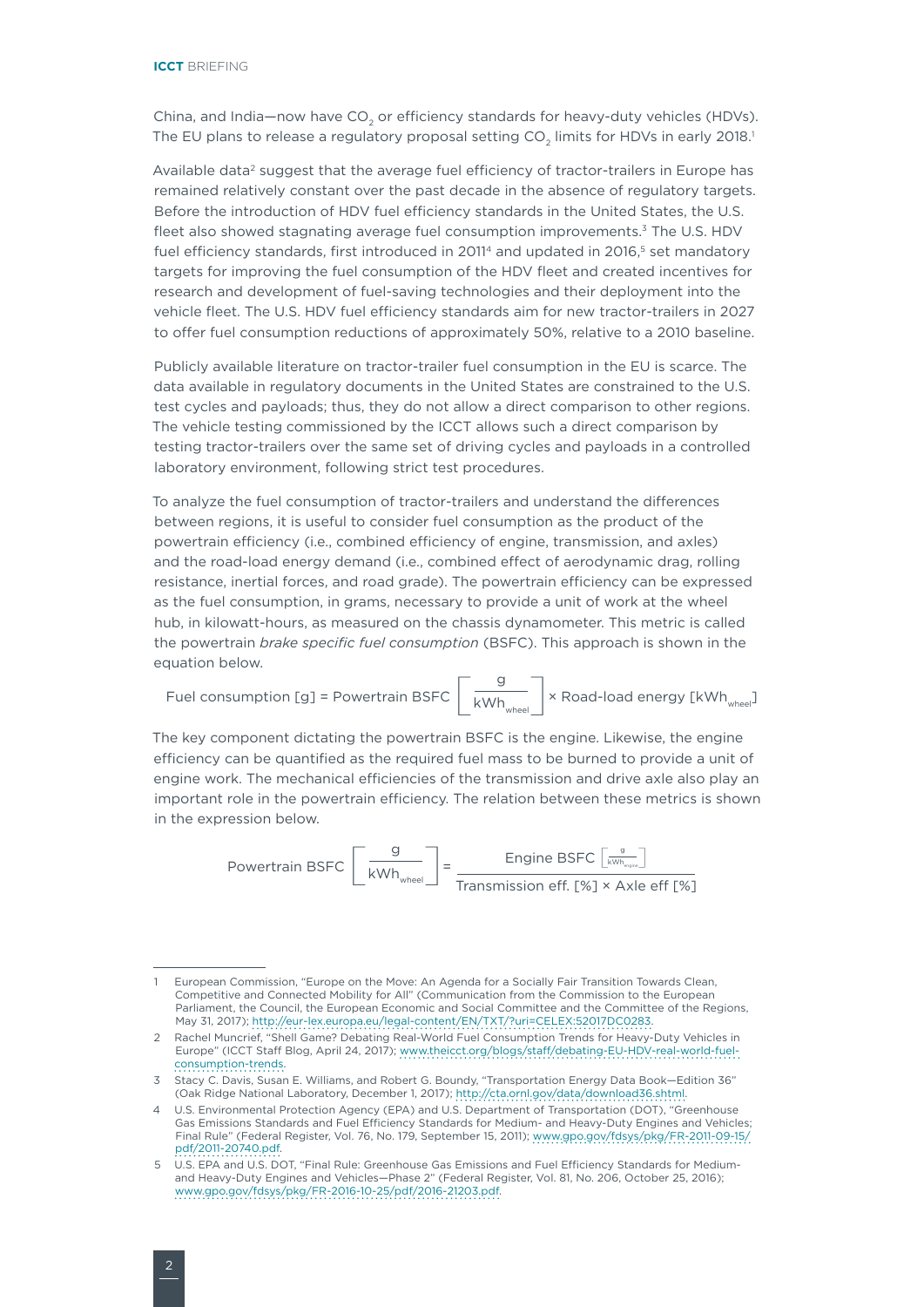China, and India-now have CO<sub>2</sub> or efficiency standards for heavy-duty vehicles (HDVs). The EU plans to release a regulatory proposal setting CO<sub>2</sub> limits for HDVs in early 2018.<sup>1</sup>

Available data<sup>2</sup> suggest that the average fuel efficiency of tractor-trailers in Europe has remained relatively constant over the past decade in the absence of regulatory targets. Before the introduction of HDV fuel efficiency standards in the United States, the U.S. fleet also showed stagnating average fuel consumption improvements.<sup>3</sup> The U.S. HDV fuel efficiency standards, first introduced in 2011<sup>4</sup> and updated in 2016,<sup>5</sup> set mandatory targets for improving the fuel consumption of the HDV fleet and created incentives for research and development of fuel-saving technologies and their deployment into the vehicle fleet. The U.S. HDV fuel efficiency standards aim for new tractor-trailers in 2027 to offer fuel consumption reductions of approximately 50%, relative to a 2010 baseline.

Publicly available literature on tractor-trailer fuel consumption in the EU is scarce. The data available in regulatory documents in the United States are constrained to the U.S. test cycles and payloads; thus, they do not allow a direct comparison to other regions. The vehicle testing commissioned by the ICCT allows such a direct comparison by testing tractor-trailers over the same set of driving cycles and payloads in a controlled laboratory environment, following strict test procedures.

To analyze the fuel consumption of tractor-trailers and understand the differences between regions, it is useful to consider fuel consumption as the product of the powertrain efficiency (i.e., combined efficiency of engine, transmission, and axles) and the road-load energy demand (i.e., combined effect of aerodynamic drag, rolling resistance, inertial forces, and road grade). The powertrain efficiency can be expressed as the fuel consumption, in grams, necessary to provide a unit of work at the wheel hub, in kilowatt-hours, as measured on the chassis dynamometer. This metric is called the powertrain *brake specific fuel consumption* (BSFC). This approach is shown in the equation below.

Fuel consumption [g] = Powertrain BSFC  $\left[\begin{array}{c} g \ \hline \text{KWh}_{\text{wheel}} \end{array}\right]$  × Road-load energy [kWh<sub>wheel</sub>]

The key component dictating the powertrain BSFC is the engine. Likewise, the engine efficiency can be quantified as the required fuel mass to be burned to provide a unit of engine work. The mechanical efficiencies of the transmission and drive axle also play an important role in the powertrain efficiency. The relation between these metrics is shown in the expression below.

> Powertrain BSFC  $\left[\frac{g}{kWh_{\text{wheel}}} \right] = \frac{Engine BSFC \left[\frac{g}{kWh_{\text{target}}} \right]}{Transmission eff. [%] \times Axle eff [%]}$ Engine BSFC  $\left[\frac{g}{\text{kWh}_{\text{engine}}}\right]$

<sup>1</sup> European Commission, "Europe on the Move: An Agenda for a Socially Fair Transition Towards Clean, Competitive and Connected Mobility for All" (Communication from the Commission to the European Parliament, the Council, the European Economic and Social Committee and the Committee of the Regions, May 31, 2017); [http://eur-lex.europa.eu/legal-content/EN/TXT/?uri=CELEX:52017DC0283.](http://eur-lex.europa.eu/legal-content/EN/TXT/?uri=CELEX:52017DC0283)

<sup>2</sup> Rachel Muncrief, "Shell Game? Debating Real-World Fuel Consumption Trends for Heavy-Duty Vehicles in Europe" (ICCT Staff Blog, April 24, 2017); [www.theicct.org/blogs/staff/debating-EU-HDV-real-world-fuel](www.theicct.org/blogs/staff/debating-EU-HDV-real-world-fuel-consumption-trends)[consumption-trends.](www.theicct.org/blogs/staff/debating-EU-HDV-real-world-fuel-consumption-trends)

<sup>3</sup> Stacy C. Davis, Susan E. Williams, and Robert G. Boundy, "Transportation Energy Data Book—Edition 36" (Oak Ridge National Laboratory, December 1, 2017); <http://cta.ornl.gov/data/download36.shtml>.

<sup>4</sup> U.S. Environmental Protection Agency (EPA) and U.S. Department of Transportation (DOT), "Greenhouse Gas Emissions Standards and Fuel Efficiency Standards for Medium- and Heavy-Duty Engines and Vehicles; Final Rule" (Federal Register, Vol. 76, No. 179, September 15, 2011); [www.gpo.gov/fdsys/pkg/FR-2011-09-15/](www.gpo.gov/fdsys/pkg/FR-2011-09-15/pdf/2011-20740.pdf) [pdf/2011-20740.pdf](www.gpo.gov/fdsys/pkg/FR-2011-09-15/pdf/2011-20740.pdf).

<sup>5</sup> U.S. EPA and U.S. DOT, "Final Rule: Greenhouse Gas Emissions and Fuel Efficiency Standards for Mediumand Heavy-Duty Engines and Vehicles—Phase 2" (Federal Register, Vol. 81, No. 206, October 25, 2016); [www.gpo.gov/fdsys/pkg/FR-2016-10-25/pdf/2016-21203.pdf.](www.gpo.gov/fdsys/pkg/FR-2016-10-25/pdf/2016-21203.pdf)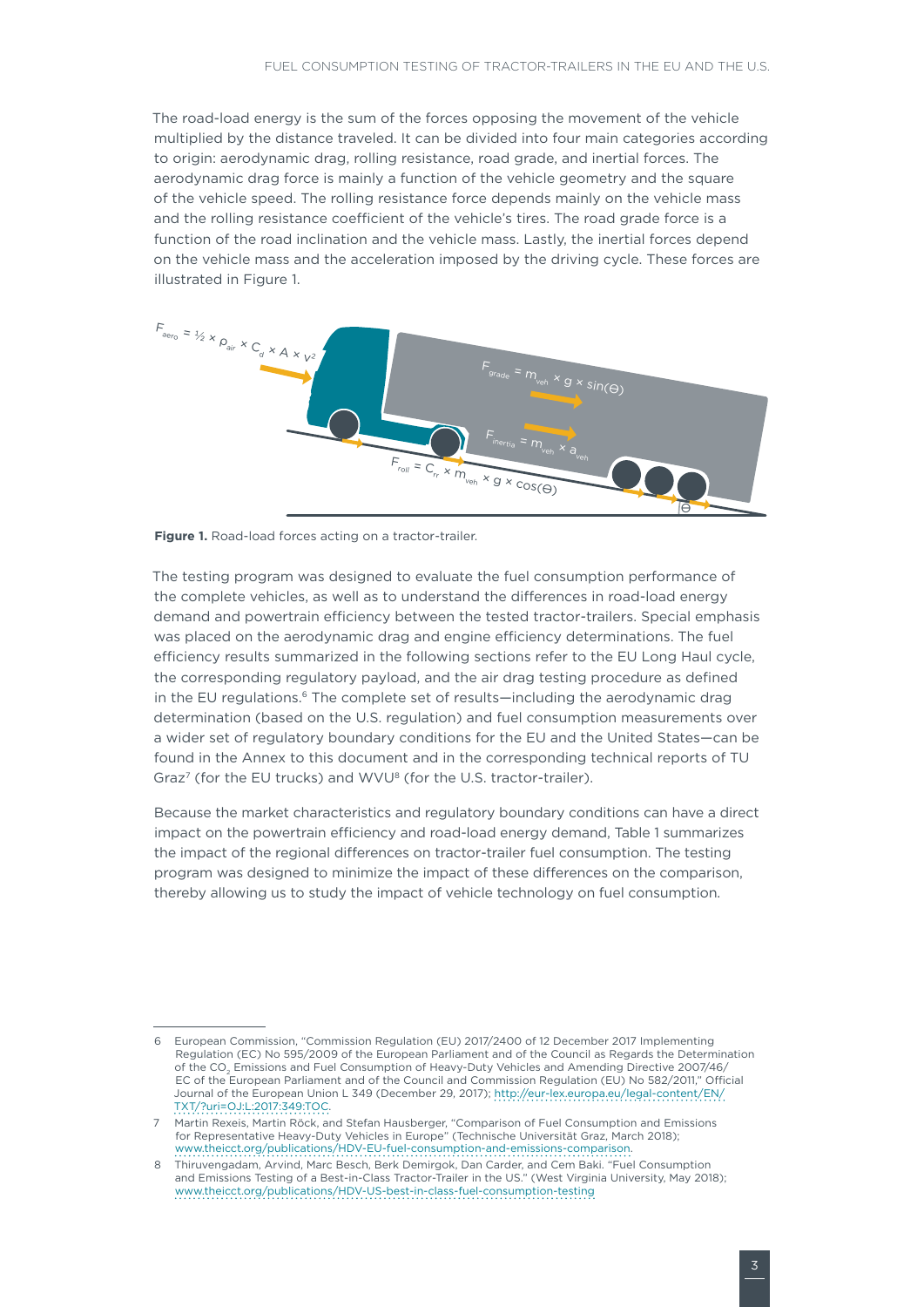The road-load energy is the sum of the forces opposing the movement of the vehicle multiplied by the distance traveled. It can be divided into four main categories according to origin: aerodynamic drag, rolling resistance, road grade, and inertial forces. The aerodynamic drag force is mainly a function of the vehicle geometry and the square of the vehicle speed. The rolling resistance force depends mainly on the vehicle mass and the rolling resistance coefficient of the vehicle's tires. The road grade force is a function of the road inclination and the vehicle mass. Lastly, the inertial forces depend on the vehicle mass and the acceleration imposed by the driving cycle. These forces are illustrated in [Figure](#page-2-0) 1.



**Figure 1.** Road-load forces acting on a tractor-trailer.

<span id="page-2-0"></span>The testing program was designed to evaluate the fuel consumption performance of the complete vehicles, as well as to understand the differences in road-load energy demand and powertrain efficiency between the tested tractor-trailers. Special emphasis was placed on the aerodynamic drag and engine efficiency determinations. The fuel efficiency results summarized in the following sections refer to the EU Long Haul cycle, the corresponding regulatory payload, and the air drag testing procedure as defined in the EU regulations.<sup>6</sup> The complete set of results—including the aerodynamic drag determination (based on the U.S. regulation) and fuel consumption measurements over a wider set of regulatory boundary conditions for the EU and the United States—can be found in the Annex to this document and in the corresponding technical reports of TU Graz<sup>7</sup> (for the EU trucks) and WVU<sup>8</sup> (for the U.S. tractor-trailer).

Because the market characteristics and regulatory boundary conditions can have a direct impact on the powertrain efficiency and road-load energy demand, Table 1 summarizes the impact of the regional differences on tractor-trailer fuel consumption. The testing program was designed to minimize the impact of these differences on the comparison, thereby allowing us to study the impact of vehicle technology on fuel consumption.

<sup>6</sup> European Commission, "Commission Regulation (EU) 2017/2400 of 12 December 2017 Implementing Regulation (EC) No 595/2009 of the European Parliament and of the Council as Regards the Determination of the CO<sub>2</sub> Emissions and Fuel Consumption of Heavy-Duty Vehicles and Amending Directive 2007/46/ EC of the European Parliament and of the Council and Commission Regulation (EU) No 582/2011," Official Journal of the European Union L 349 (December 29, 2017); [http://eur-lex.europa.eu/legal-content/EN/](http://eur-lex.europa.eu/legal-content/EN/TXT/?uri=OJ:L:2017:349:TOC) [TXT/?uri=OJ:L:2017:349:TOC.](http://eur-lex.europa.eu/legal-content/EN/TXT/?uri=OJ:L:2017:349:TOC)

<sup>7</sup> Martin Rexeis, Martin Röck, and Stefan Hausberger, "Comparison of Fuel Consumption and Emissions for Representative Heavy-Duty Vehicles in Europe" (Technische Universität Graz, March 2018); <www.theicct.org/publications/HDV-EU-fuel-consumption-and-emissions-comparison>.

<sup>8</sup> Thiruvengadam, Arvind, Marc Besch, Berk Demirgok, Dan Carder, and Cem Baki. "Fuel Consumption and Emissions Testing of a Best-in-Class Tractor-Trailer in the US." (West Virginia University, May 2018); <www.theicct.org/publications/HDV-US-best-in-class-fuel-consumption-testing>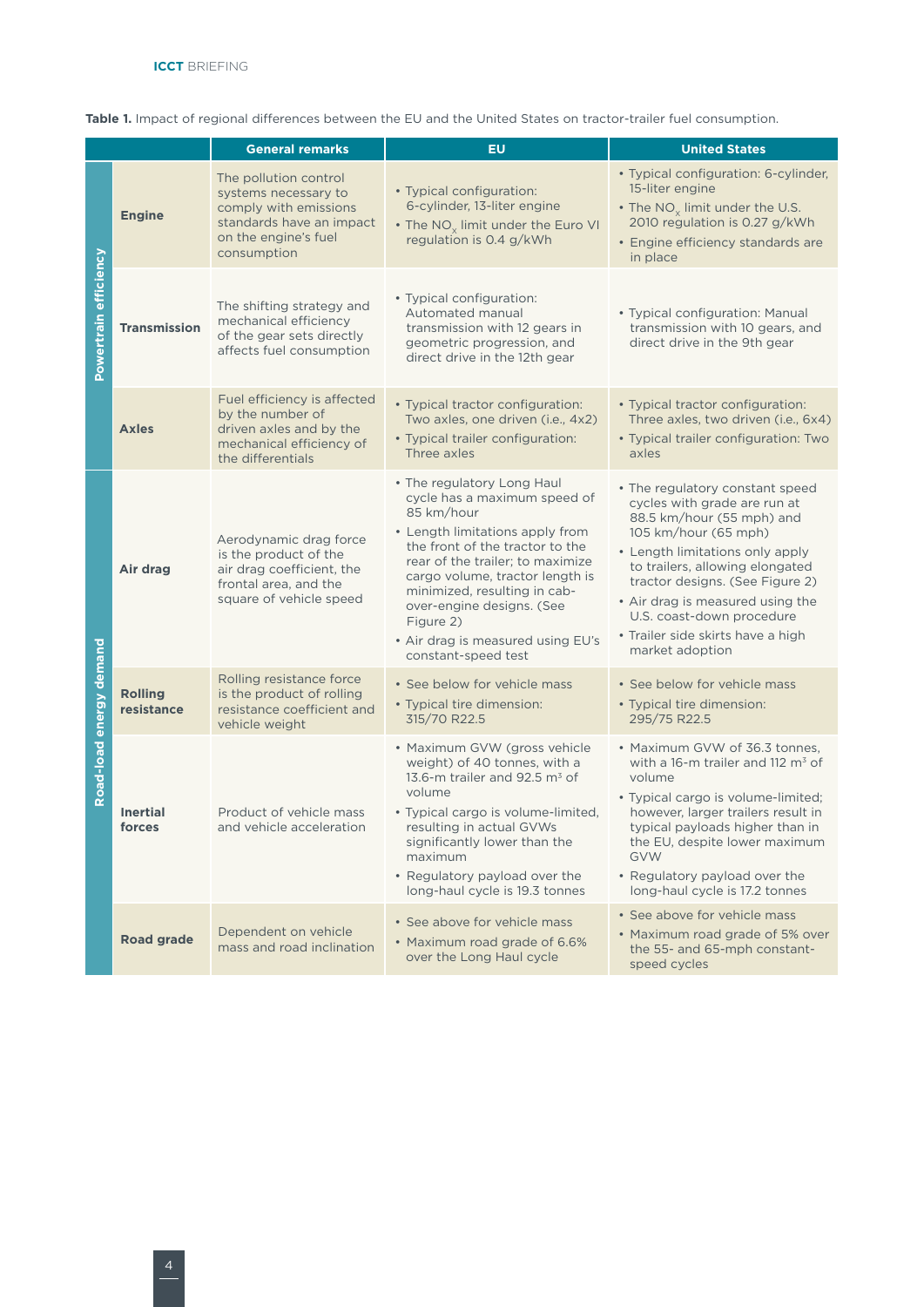|                         |                              | <b>General remarks</b>                                                                                                                    | <b>EU</b>                                                                                                                                                                                                                                                                                                                                                   | <b>United States</b>                                                                                                                                                                                                                                                                                                                                   |  |
|-------------------------|------------------------------|-------------------------------------------------------------------------------------------------------------------------------------------|-------------------------------------------------------------------------------------------------------------------------------------------------------------------------------------------------------------------------------------------------------------------------------------------------------------------------------------------------------------|--------------------------------------------------------------------------------------------------------------------------------------------------------------------------------------------------------------------------------------------------------------------------------------------------------------------------------------------------------|--|
| Powertrain efficiency   | <b>Engine</b>                | The pollution control<br>systems necessary to<br>comply with emissions<br>standards have an impact<br>on the engine's fuel<br>consumption | • Typical configuration:<br>6-cylinder, 13-liter engine<br>• The $NO_x$ limit under the Euro VI<br>regulation is 0.4 g/kWh                                                                                                                                                                                                                                  | • Typical configuration: 6-cylinder,<br>15-liter engine<br>• The $NO_x$ limit under the U.S.<br>2010 regulation is 0.27 g/kWh<br>• Engine efficiency standards are<br>in place                                                                                                                                                                         |  |
|                         | <b>Transmission</b>          | The shifting strategy and<br>mechanical efficiency<br>of the gear sets directly<br>affects fuel consumption                               | • Typical configuration:<br>Automated manual<br>transmission with 12 gears in<br>geometric progression, and<br>direct drive in the 12th gear                                                                                                                                                                                                                | • Typical configuration: Manual<br>transmission with 10 gears, and<br>direct drive in the 9th gear                                                                                                                                                                                                                                                     |  |
|                         | <b>Axles</b>                 | Fuel efficiency is affected<br>by the number of<br>driven axles and by the<br>mechanical efficiency of<br>the differentials               | • Typical tractor configuration:<br>Two axles, one driven (i.e., 4x2)<br>• Typical trailer configuration:<br>Three axles                                                                                                                                                                                                                                    | • Typical tractor configuration:<br>Three axles, two driven ( <i>i.e.</i> , 6x4)<br>• Typical trailer configuration: Two<br>axles                                                                                                                                                                                                                      |  |
| Road-load energy demand | Air drag                     | Aerodynamic drag force<br>is the product of the<br>air drag coefficient, the<br>frontal area, and the<br>square of vehicle speed          | • The regulatory Long Haul<br>cycle has a maximum speed of<br>85 km/hour<br>• Length limitations apply from<br>the front of the tractor to the<br>rear of the trailer; to maximize<br>cargo volume, tractor length is<br>minimized, resulting in cab-<br>over-engine designs. (See<br>Figure 2)<br>• Air drag is measured using EU's<br>constant-speed test | • The regulatory constant speed<br>cycles with grade are run at<br>88.5 km/hour (55 mph) and<br>105 km/hour (65 mph)<br>• Length limitations only apply<br>to trailers, allowing elongated<br>tractor designs. (See Figure 2)<br>• Air drag is measured using the<br>U.S. coast-down procedure<br>• Trailer side skirts have a high<br>market adoption |  |
|                         | <b>Rolling</b><br>resistance | Rolling resistance force<br>is the product of rolling<br>resistance coefficient and<br>vehicle weight                                     | • See below for vehicle mass<br>• Typical tire dimension:<br>315/70 R22.5                                                                                                                                                                                                                                                                                   | • See below for vehicle mass<br>• Typical tire dimension:<br>295/75 R22.5                                                                                                                                                                                                                                                                              |  |
|                         | <b>Inertial</b><br>forces    | Product of vehicle mass<br>and vehicle acceleration                                                                                       | • Maximum GVW (gross vehicle<br>weight) of 40 tonnes, with a<br>13.6-m trailer and 92.5 $m3$ of<br>volume<br>• Typical cargo is volume-limited,<br>resulting in actual GVWs<br>significantly lower than the<br>maximum<br>• Regulatory payload over the<br>long-haul cycle is 19.3 tonnes                                                                   | • Maximum GVW of 36.3 tonnes,<br>with a 16-m trailer and 112 $m3$ of<br>volume<br>• Typical cargo is volume-limited;<br>however, larger trailers result in<br>typical payloads higher than in<br>the EU, despite lower maximum<br><b>GVW</b><br>• Regulatory payload over the<br>long-haul cycle is 17.2 tonnes                                        |  |
|                         | <b>Road grade</b>            | Dependent on vehicle<br>mass and road inclination                                                                                         | • See above for vehicle mass<br>• Maximum road grade of 6.6%<br>over the Long Haul cycle                                                                                                                                                                                                                                                                    | • See above for vehicle mass<br>• Maximum road grade of 5% over<br>the 55- and 65-mph constant-<br>speed cycles                                                                                                                                                                                                                                        |  |

**Table 1.** Impact of regional differences between the EU and the United States on tractor-trailer fuel consumption.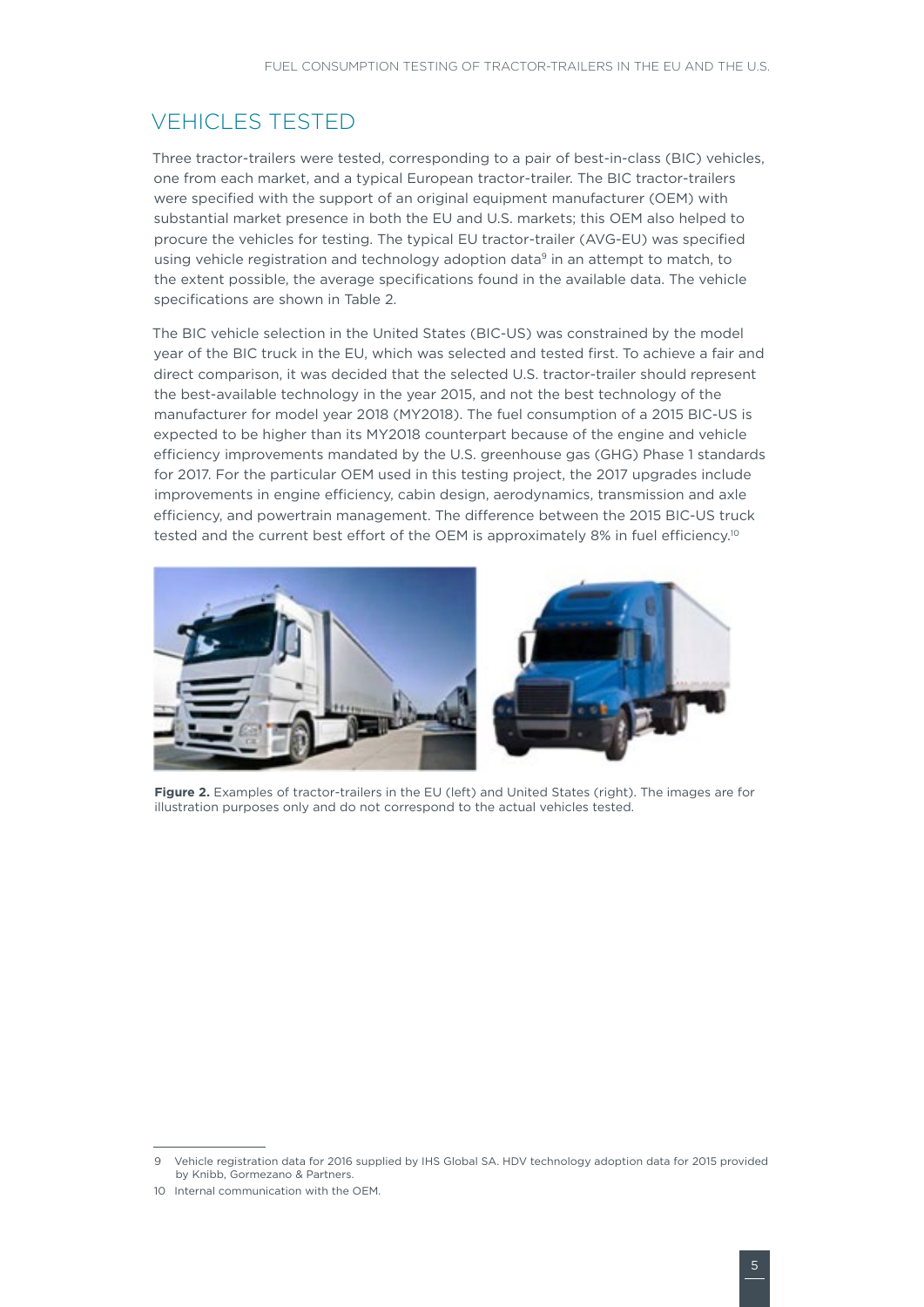## **VEHICLES TESTED**

Three tractor-trailers were tested, corresponding to a pair of best-in-class (BIC) vehicles, one from each market, and a typical European tractor-trailer. The BIC tractor-trailers were specified with the support of an original equipment manufacturer (OEM) with substantial market presence in both the EU and U.S. markets; this OEM also helped to procure the vehicles for testing. The typical EU tractor-trailer (AVG-EU) was specified using vehicle registration and technology adoption data<sup>9</sup> in an attempt to match, to the extent possible, the average specifications found in the available data. The vehicle specifications are shown in Table 2.

The BIC vehicle selection in the United States (BIC-US) was constrained by the model year of the BIC truck in the EU, which was selected and tested first. To achieve a fair and direct comparison, it was decided that the selected U.S. tractor-trailer should represent the best-available technology in the year 2015, and not the best technology of the manufacturer for model year 2018 (MY2018). The fuel consumption of a 2015 BIC-US is expected to be higher than its MY2018 counterpart because of the engine and vehicle efficiency improvements mandated by the U.S. greenhouse gas (GHG) Phase 1 standards for 2017. For the particular OEM used in this testing project, the 2017 upgrades include improvements in engine efficiency, cabin design, aerodynamics, transmission and axle efficiency, and powertrain management. The difference between the 2015 BIC-US truck tested and the current best effort of the OEM is approximately 8% in fuel efficiency.<sup>10</sup>



**Figure 2.** Examples of tractor-trailers in the EU (left) and United States (right). The images are for illustration purposes only and do not correspond to the actual vehicles tested.

<sup>9</sup> Vehicle registration data for 2016 supplied by IHS Global SA. HDV technology adoption data for 2015 provided by Knibb, Gormezano & Partners.

<sup>10</sup> Internal communication with the OEM.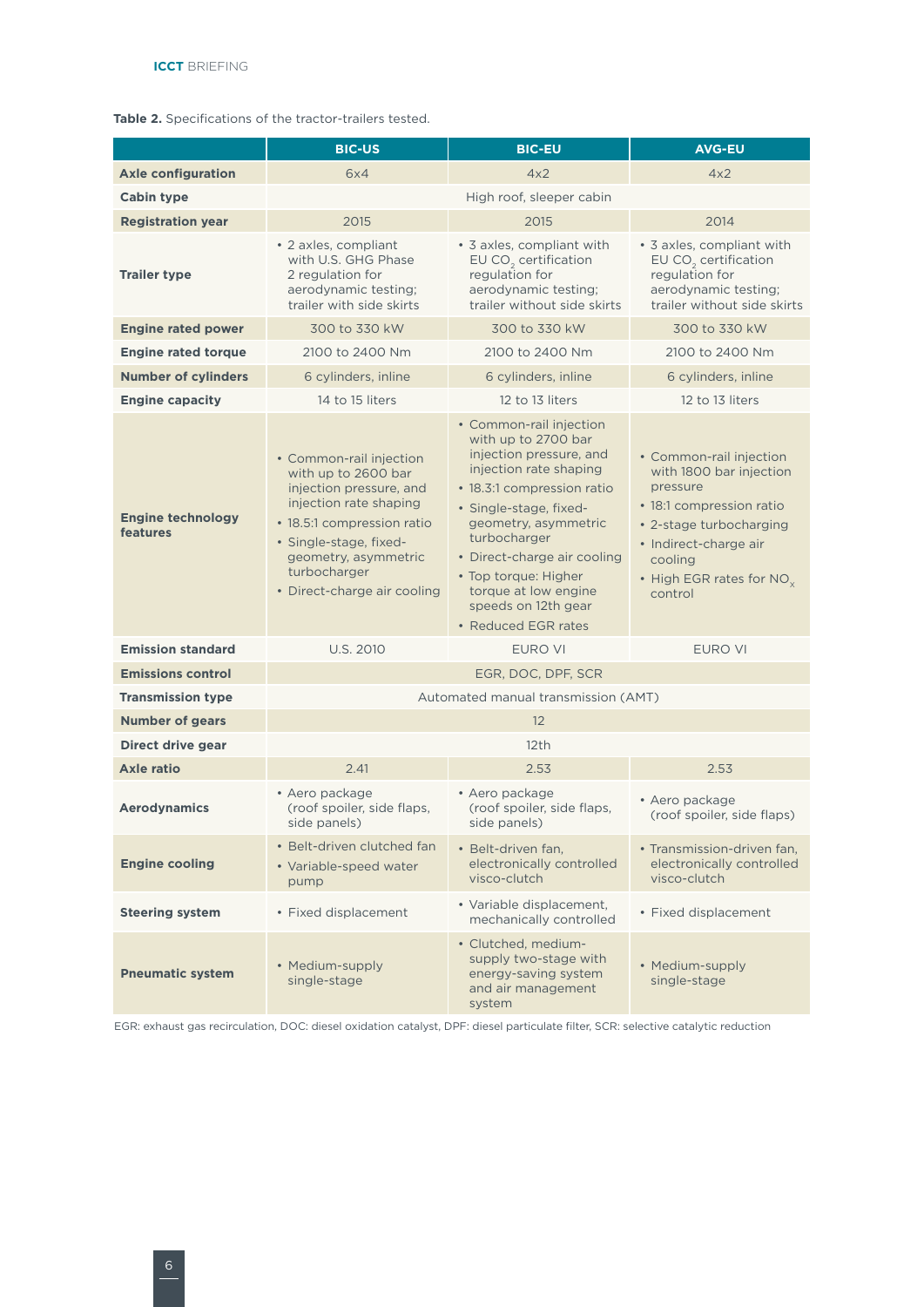|  | Table 2. Specifications of the tractor-trailers tested. |  |
|--|---------------------------------------------------------|--|
|  |                                                         |  |

|                                      | <b>BIC-US</b>                                                                                                                                                                                                                      | <b>BIC-EU</b>                                                                                                                                                                                                                                                                                                                    | <b>AVG-EU</b>                                                                                                                                                                                                |  |  |  |  |
|--------------------------------------|------------------------------------------------------------------------------------------------------------------------------------------------------------------------------------------------------------------------------------|----------------------------------------------------------------------------------------------------------------------------------------------------------------------------------------------------------------------------------------------------------------------------------------------------------------------------------|--------------------------------------------------------------------------------------------------------------------------------------------------------------------------------------------------------------|--|--|--|--|
| <b>Axle configuration</b>            | 6x4                                                                                                                                                                                                                                | 4x2                                                                                                                                                                                                                                                                                                                              | 4x2                                                                                                                                                                                                          |  |  |  |  |
| <b>Cabin type</b>                    |                                                                                                                                                                                                                                    |                                                                                                                                                                                                                                                                                                                                  |                                                                                                                                                                                                              |  |  |  |  |
| <b>Registration year</b>             | 2015                                                                                                                                                                                                                               | 2015                                                                                                                                                                                                                                                                                                                             | 2014                                                                                                                                                                                                         |  |  |  |  |
| <b>Trailer type</b>                  | • 2 axles, compliant<br>with U.S. GHG Phase<br>2 regulation for<br>aerodynamic testing;<br>trailer with side skirts                                                                                                                | • 3 axles, compliant with<br>EU $CO2$ certification<br>regulation for<br>aerodynamic testing;<br>trailer without side skirts                                                                                                                                                                                                     | • 3 axles, compliant with<br>EU $CO2$ certification<br>regulation for<br>aerodynamic testing;<br>trailer without side skirts                                                                                 |  |  |  |  |
| <b>Engine rated power</b>            | 300 to 330 kW                                                                                                                                                                                                                      | 300 to 330 kW                                                                                                                                                                                                                                                                                                                    | 300 to 330 kW                                                                                                                                                                                                |  |  |  |  |
| <b>Engine rated torque</b>           | 2100 to 2400 Nm                                                                                                                                                                                                                    | 2100 to 2400 Nm                                                                                                                                                                                                                                                                                                                  | 2100 to 2400 Nm                                                                                                                                                                                              |  |  |  |  |
| <b>Number of cylinders</b>           | 6 cylinders, inline                                                                                                                                                                                                                | 6 cylinders, inline                                                                                                                                                                                                                                                                                                              | 6 cylinders, inline                                                                                                                                                                                          |  |  |  |  |
| <b>Engine capacity</b>               | 14 to 15 liters                                                                                                                                                                                                                    | 12 to 13 liters                                                                                                                                                                                                                                                                                                                  | 12 to 13 liters                                                                                                                                                                                              |  |  |  |  |
| <b>Engine technology</b><br>features | • Common-rail injection<br>with up to 2600 bar<br>injection pressure, and<br>injection rate shaping<br>• 18.5:1 compression ratio<br>• Single-stage, fixed-<br>geometry, asymmetric<br>turbocharger<br>• Direct-charge air cooling | • Common-rail injection<br>with up to 2700 bar<br>injection pressure, and<br>injection rate shaping<br>• 18.3:1 compression ratio<br>· Single-stage, fixed-<br>geometry, asymmetric<br>turbocharger<br>• Direct-charge air cooling<br>• Top torque: Higher<br>torque at low engine<br>speeds on 12th gear<br>• Reduced EGR rates | • Common-rail injection<br>with 1800 bar injection<br>pressure<br>• 18:1 compression ratio<br>• 2-stage turbocharging<br>· Indirect-charge air<br>cooling<br>• High EGR rates for NO <sub>v</sub><br>control |  |  |  |  |
| <b>Emission standard</b>             | <b>U.S. 2010</b>                                                                                                                                                                                                                   | <b>EURO VI</b>                                                                                                                                                                                                                                                                                                                   | <b>EURO VI</b>                                                                                                                                                                                               |  |  |  |  |
| <b>Emissions control</b>             | EGR, DOC, DPF, SCR                                                                                                                                                                                                                 |                                                                                                                                                                                                                                                                                                                                  |                                                                                                                                                                                                              |  |  |  |  |
| <b>Transmission type</b>             | Automated manual transmission (AMT)                                                                                                                                                                                                |                                                                                                                                                                                                                                                                                                                                  |                                                                                                                                                                                                              |  |  |  |  |
| <b>Number of gears</b>               | 12                                                                                                                                                                                                                                 |                                                                                                                                                                                                                                                                                                                                  |                                                                                                                                                                                                              |  |  |  |  |
| Direct drive gear                    | 12 <sup>th</sup>                                                                                                                                                                                                                   |                                                                                                                                                                                                                                                                                                                                  |                                                                                                                                                                                                              |  |  |  |  |
| <b>Axle ratio</b>                    | 2.41                                                                                                                                                                                                                               | 2.53                                                                                                                                                                                                                                                                                                                             | 2.53                                                                                                                                                                                                         |  |  |  |  |
| <b>Aerodynamics</b>                  | • Aero package<br>(roof spoiler, side flaps,<br>side panels)                                                                                                                                                                       | • Aero package<br>(roof spoiler, side flaps,<br>side panels)                                                                                                                                                                                                                                                                     | • Aero package<br>(roof spoiler, side flaps)                                                                                                                                                                 |  |  |  |  |
| <b>Engine cooling</b>                | • Belt-driven clutched fan<br>• Variable-speed water<br>pump                                                                                                                                                                       | · Belt-driven fan,<br>electronically controlled<br>visco-clutch                                                                                                                                                                                                                                                                  | • Transmission-driven fan,<br>electronically controlled<br>visco-clutch                                                                                                                                      |  |  |  |  |
| <b>Steering system</b>               | • Fixed displacement                                                                                                                                                                                                               | · Variable displacement,<br>mechanically controlled                                                                                                                                                                                                                                                                              | • Fixed displacement                                                                                                                                                                                         |  |  |  |  |
| <b>Pneumatic system</b>              | • Medium-supply<br>single-stage                                                                                                                                                                                                    | · Clutched, medium-<br>supply two-stage with<br>energy-saving system<br>and air management<br>system                                                                                                                                                                                                                             | • Medium-supply<br>single-stage                                                                                                                                                                              |  |  |  |  |

EGR: exhaust gas recirculation, DOC: diesel oxidation catalyst, DPF: diesel particulate filter, SCR: selective catalytic reduction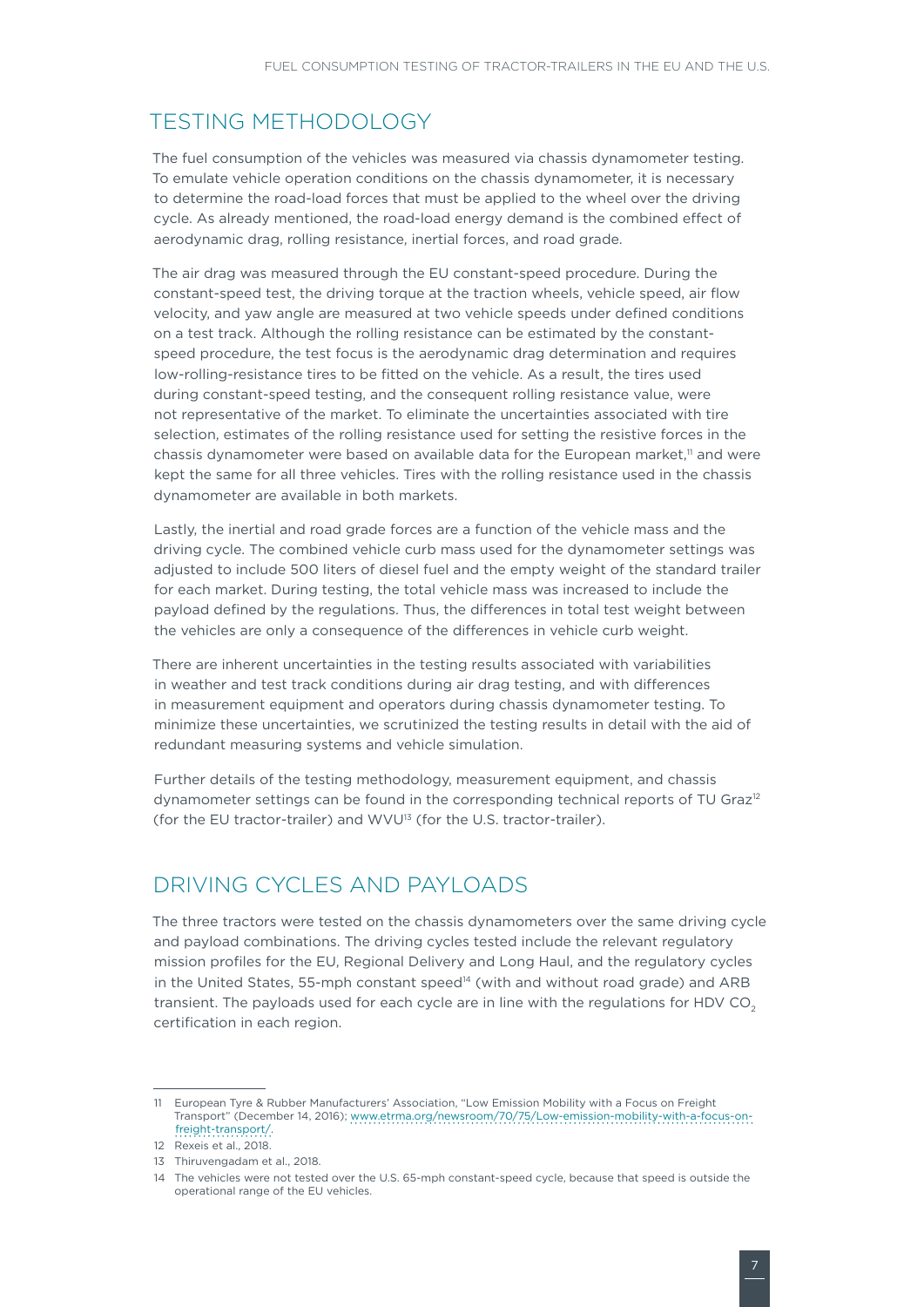## TESTING METHODOLOGY

The fuel consumption of the vehicles was measured via chassis dynamometer testing. To emulate vehicle operation conditions on the chassis dynamometer, it is necessary to determine the road-load forces that must be applied to the wheel over the driving cycle. As already mentioned, the road-load energy demand is the combined effect of aerodynamic drag, rolling resistance, inertial forces, and road grade.

The air drag was measured through the EU constant-speed procedure. During the constant-speed test, the driving torque at the traction wheels, vehicle speed, air flow velocity, and yaw angle are measured at two vehicle speeds under defined conditions on a test track. Although the rolling resistance can be estimated by the constantspeed procedure, the test focus is the aerodynamic drag determination and requires low-rolling-resistance tires to be fitted on the vehicle. As a result, the tires used during constant-speed testing, and the consequent rolling resistance value, were not representative of the market. To eliminate the uncertainties associated with tire selection, estimates of the rolling resistance used for setting the resistive forces in the chassis dynamometer were based on available data for the European market, $\mathbb{I}$  and were kept the same for all three vehicles. Tires with the rolling resistance used in the chassis dynamometer are available in both markets.

Lastly, the inertial and road grade forces are a function of the vehicle mass and the driving cycle. The combined vehicle curb mass used for the dynamometer settings was adjusted to include 500 liters of diesel fuel and the empty weight of the standard trailer for each market. During testing, the total vehicle mass was increased to include the payload defined by the regulations. Thus, the differences in total test weight between the vehicles are only a consequence of the differences in vehicle curb weight.

There are inherent uncertainties in the testing results associated with variabilities in weather and test track conditions during air drag testing, and with differences in measurement equipment and operators during chassis dynamometer testing. To minimize these uncertainties, we scrutinized the testing results in detail with the aid of redundant measuring systems and vehicle simulation.

Further details of the testing methodology, measurement equipment, and chassis dynamometer settings can be found in the corresponding technical reports of TU Graz<sup>12</sup> (for the EU tractor-trailer) and WVU<sup>13</sup> (for the U.S. tractor-trailer).

# DRIVING CYCLES AND PAYLOADS

The three tractors were tested on the chassis dynamometers over the same driving cycle and payload combinations. The driving cycles tested include the relevant regulatory mission profiles for the EU, Regional Delivery and Long Haul, and the regulatory cycles in the United States, 55-mph constant speed<sup>14</sup> (with and without road grade) and ARB transient. The payloads used for each cycle are in line with the regulations for HDV  $CO<sub>2</sub>$ certification in each region.

<sup>11</sup> European Tyre & Rubber Manufacturers' Association, "Low Emission Mobility with a Focus on Freight Transport" (December 14, 2016); [www.etrma.org/newsroom/70/75/Low-emission-mobility-with-a-focus-on](www.etrma.org/newsroom/70/75/Low-emission-mobility-with-a-focus-on-freight-transport/)[freight-transport/.](www.etrma.org/newsroom/70/75/Low-emission-mobility-with-a-focus-on-freight-transport/)

<sup>12</sup> Rexeis et al., 2018.

<sup>13</sup> Thiruvengadam et al., 2018.

<sup>14</sup> The vehicles were not tested over the U.S. 65-mph constant-speed cycle, because that speed is outside the operational range of the EU vehicles.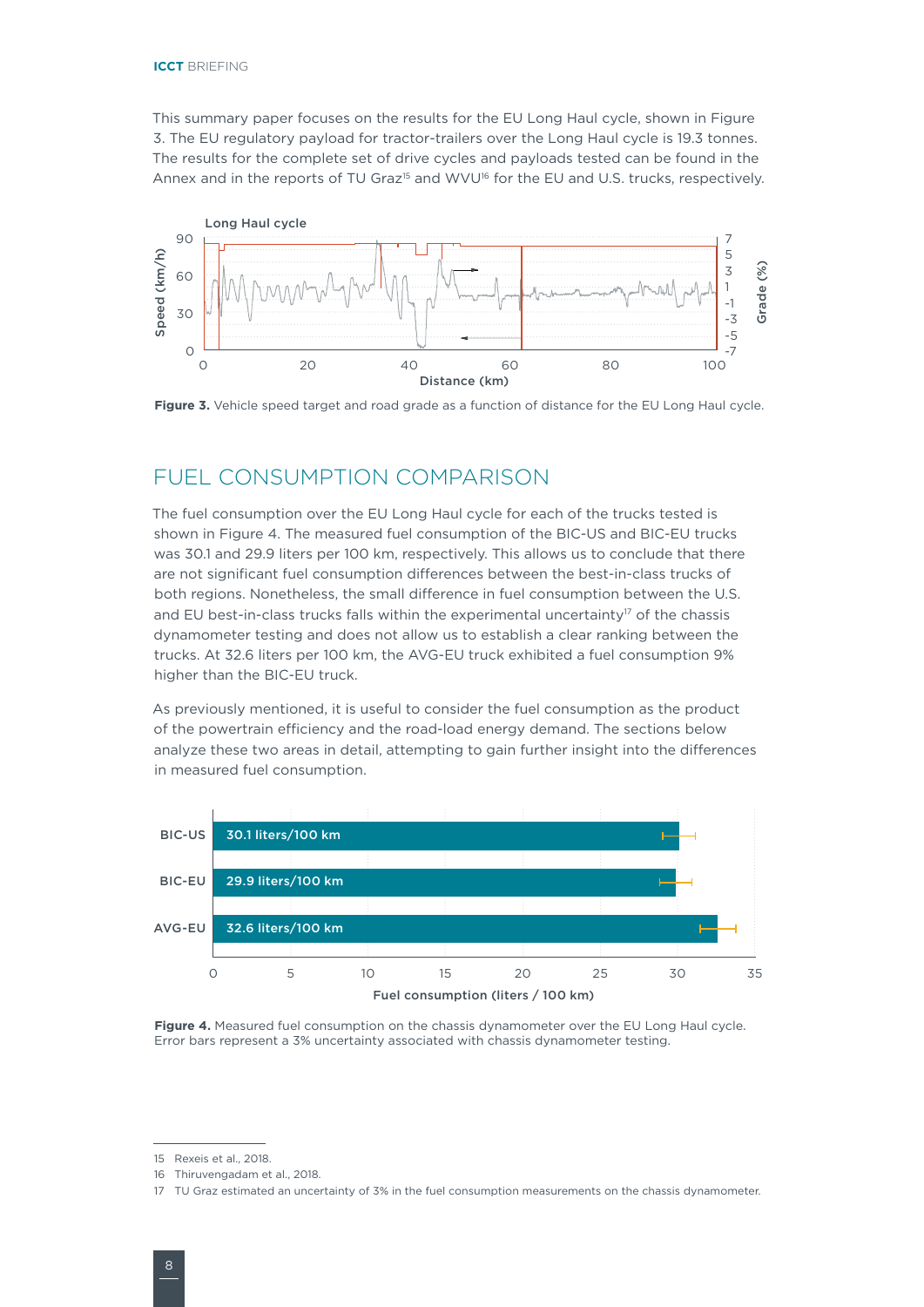This summary paper focuses on the results for the EU Long Haul cycle, shown in [Figure](#page-7-0)  3. The EU regulatory payload for tractor-trailers over the Long Haul cycle is 19.3 tonnes. The results for the complete set of drive cycles and payloads tested can be found in the Annex and in the reports of TU Graz<sup>15</sup> and WVU<sup>16</sup> for the EU and U.S. trucks, respectively.



<span id="page-7-0"></span>**Figure 3.** Vehicle speed target and road grade as a function of distance for the EU Long Haul cycle.

## FUEL CONSUMPTION COMPARISON

The fuel consumption over the EU Long Haul cycle for each of the trucks tested is shown in [Figure 4](#page-7-1). The measured fuel consumption of the BIC-US and BIC-EU trucks was 30.1 and 29.9 liters per 100 km, respectively. This allows us to conclude that there are not significant fuel consumption differences between the best-in-class trucks of both regions. Nonetheless, the small difference in fuel consumption between the U.S. and EU best-in-class trucks falls within the experimental uncertainty<sup>17</sup> of the chassis dynamometer testing and does not allow us to establish a clear ranking between the trucks. At 32.6 liters per 100 km, the AVG-EU truck exhibited a fuel consumption 9% higher than the BIC-EU truck.

As previously mentioned, it is useful to consider the fuel consumption as the product of the powertrain efficiency and the road-load energy demand. The sections below analyze these two areas in detail, attempting to gain further insight into the differences in measured fuel consumption.



<span id="page-7-1"></span>**Figure 4.** Measured fuel consumption on the chassis dynamometer over the EU Long Haul cycle. Error bars represent a 3% uncertainty associated with chassis dynamometer testing.

<sup>15</sup> Rexeis et al., 2018.

<sup>16</sup> Thiruvengadam et al., 2018.

<sup>17</sup> TU Graz estimated an uncertainty of 3% in the fuel consumption measurements on the chassis dynamometer.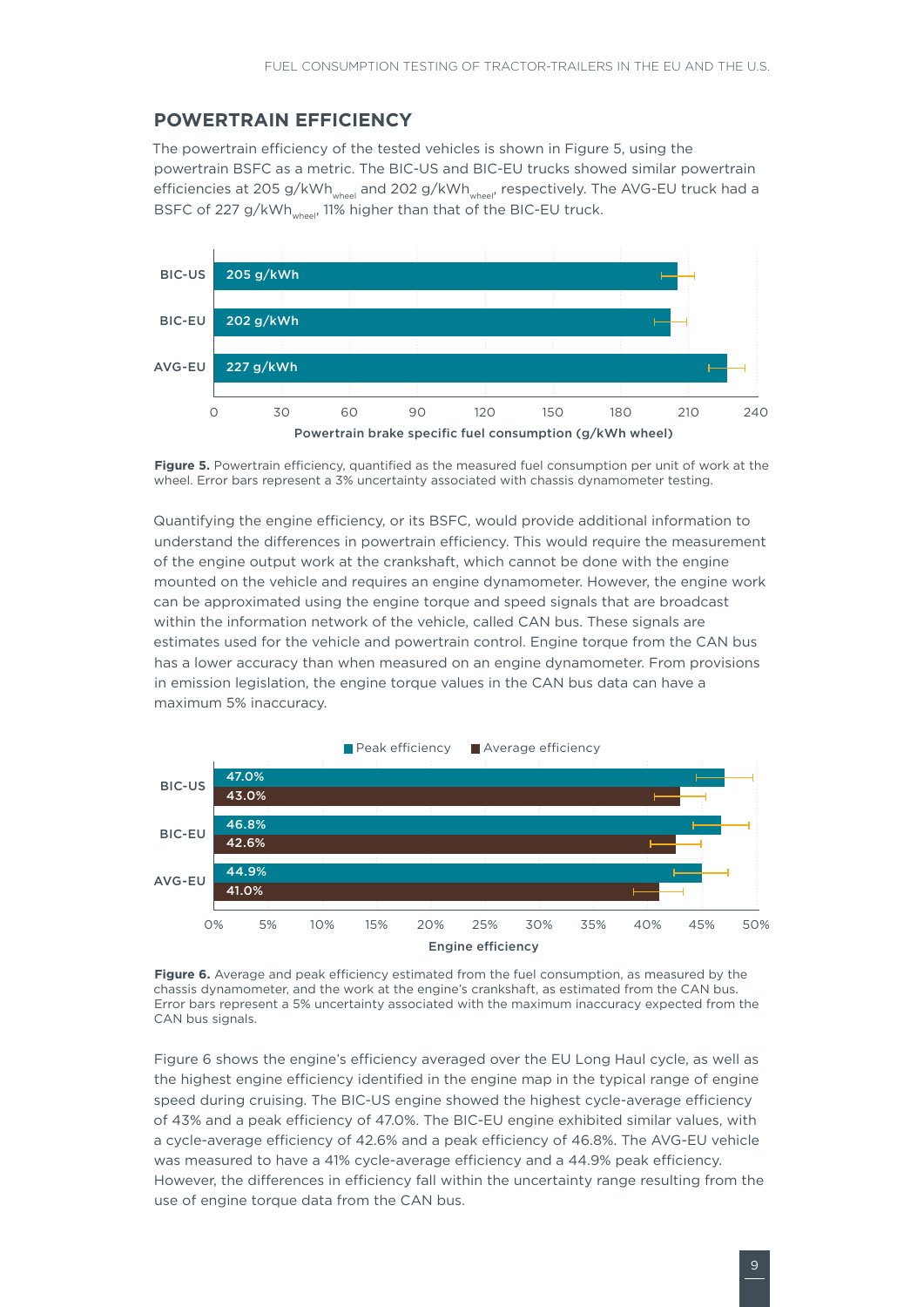#### **POWERTRAIN EFFICIENCY**

The powertrain efficiency of the tested vehicles is shown in [Figure](#page-8-0) 5, using the powertrain BSFC as a metric. The BIC-US and BIC-EU trucks showed similar powertrain efficiencies at 205 g/kWh<sub>wheel</sub> and 202 g/kWh<sub>wheel</sub>, respectively. The AVG-EU truck had a BSFC of 227 g/kWh<sub>wheel</sub>, 11% higher than that of the BIC-EU truck.



<span id="page-8-0"></span>**Figure 5.** Powertrain efficiency, quantified as the measured fuel consumption per unit of work at the wheel. Error bars represent a 3% uncertainty associated with chassis dynamometer testing.

Quantifying the engine efficiency, or its BSFC, would provide additional information to understand the differences in powertrain efficiency. This would require the measurement of the engine output work at the crankshaft, which cannot be done with the engine mounted on the vehicle and requires an engine dynamometer. However, the engine work can be approximated using the engine torque and speed signals that are broadcast within the information network of the vehicle, called CAN bus. These signals are estimates used for the vehicle and powertrain control. Engine torque from the CAN bus has a lower accuracy than when measured on an engine dynamometer. From provisions in emission legislation, the engine torque values in the CAN bus data can have a maximum 5% inaccuracy.



<span id="page-8-1"></span>Figure 6. Average and peak efficiency estimated from the fuel consumption, as measured by the chassis dynamometer, and the work at the engine's crankshaft, as estimated from the CAN bus. Error bars represent a 5% uncertainty associated with the maximum inaccuracy expected from the CAN bus signals.

[Figure 6](#page-8-1) shows the engine's efficiency averaged over the EU Long Haul cycle, as well as the highest engine efficiency identified in the engine map in the typical range of engine speed during cruising. The BIC-US engine showed the highest cycle-average efficiency of 43% and a peak efficiency of 47.0%. The BIC-EU engine exhibited similar values, with a cycle-average efficiency of 42.6% and a peak efficiency of 46.8%. The AVG-EU vehicle was measured to have a 41% cycle-average efficiency and a 44.9% peak efficiency. However, the differences in efficiency fall within the uncertainty range resulting from the use of engine torque data from the CAN bus.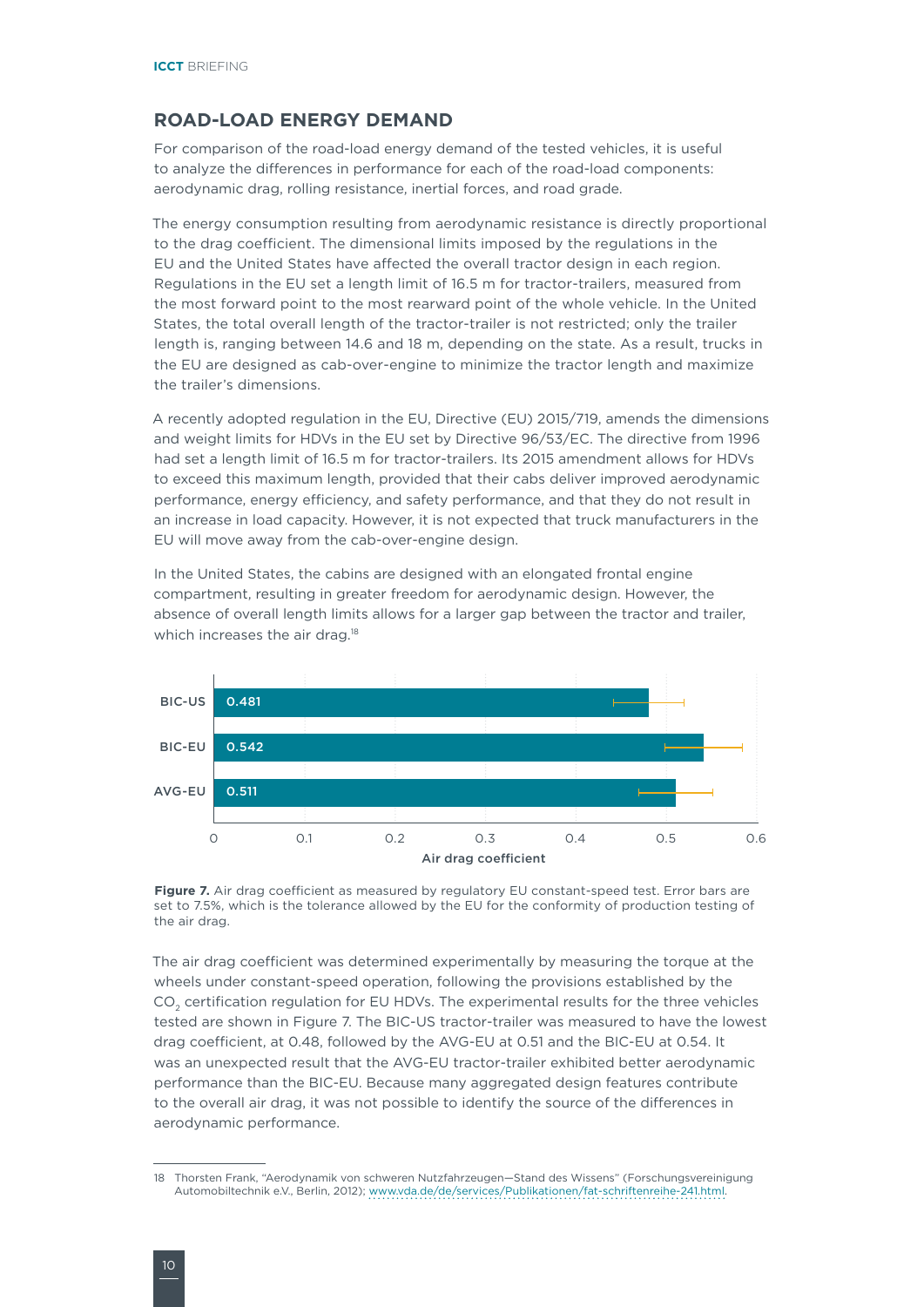#### **ROAD-LOAD ENERGY DEMAND**

For comparison of the road-load energy demand of the tested vehicles, it is useful to analyze the differences in performance for each of the road-load components: aerodynamic drag, rolling resistance, inertial forces, and road grade.

The energy consumption resulting from aerodynamic resistance is directly proportional to the drag coefficient. The dimensional limits imposed by the regulations in the EU and the United States have affected the overall tractor design in each region. Regulations in the EU set a length limit of 16.5 m for tractor-trailers, measured from the most forward point to the most rearward point of the whole vehicle. In the United States, the total overall length of the tractor-trailer is not restricted; only the trailer length is, ranging between 14.6 and 18 m, depending on the state. As a result, trucks in the EU are designed as cab-over-engine to minimize the tractor length and maximize the trailer's dimensions.

A recently adopted regulation in the EU, Directive (EU) 2015/719, amends the dimensions and weight limits for HDVs in the EU set by Directive 96/53/EC. The directive from 1996 had set a length limit of 16.5 m for tractor-trailers. Its 2015 amendment allows for HDVs to exceed this maximum length, provided that their cabs deliver improved aerodynamic performance, energy efficiency, and safety performance, and that they do not result in an increase in load capacity. However, it is not expected that truck manufacturers in the EU will move away from the cab-over-engine design.

In the United States, the cabins are designed with an elongated frontal engine compartment, resulting in greater freedom for aerodynamic design. However, the absence of overall length limits allows for a larger gap between the tractor and trailer, which increases the air drag.<sup>18</sup>



<span id="page-9-0"></span>**Figure 7.** Air drag coefficient as measured by regulatory EU constant-speed test. Error bars are set to 7.5%, which is the tolerance allowed by the EU for the conformity of production testing of the air drag.

The air drag coefficient was determined experimentally by measuring the torque at the wheels under constant-speed operation, following the provisions established by the CO<sub>2</sub> certification regulation for EU HDVs. The experimental results for the three vehicles tested are shown in [Figure](#page-9-0) 7. The BIC-US tractor-trailer was measured to have the lowest drag coefficient, at 0.48, followed by the AVG-EU at 0.51 and the BIC-EU at 0.54. It was an unexpected result that the AVG-EU tractor-trailer exhibited better aerodynamic performance than the BIC-EU. Because many aggregated design features contribute to the overall air drag, it was not possible to identify the source of the differences in aerodynamic performance.

<sup>18</sup> Thorsten Frank, "Aerodynamik von schweren Nutzfahrzeugen—Stand des Wissens" (Forschungsvereinigung Automobiltechnik e.V., Berlin, 2012); <www.vda.de/de/services/Publikationen/fat-schriftenreihe-241.html>.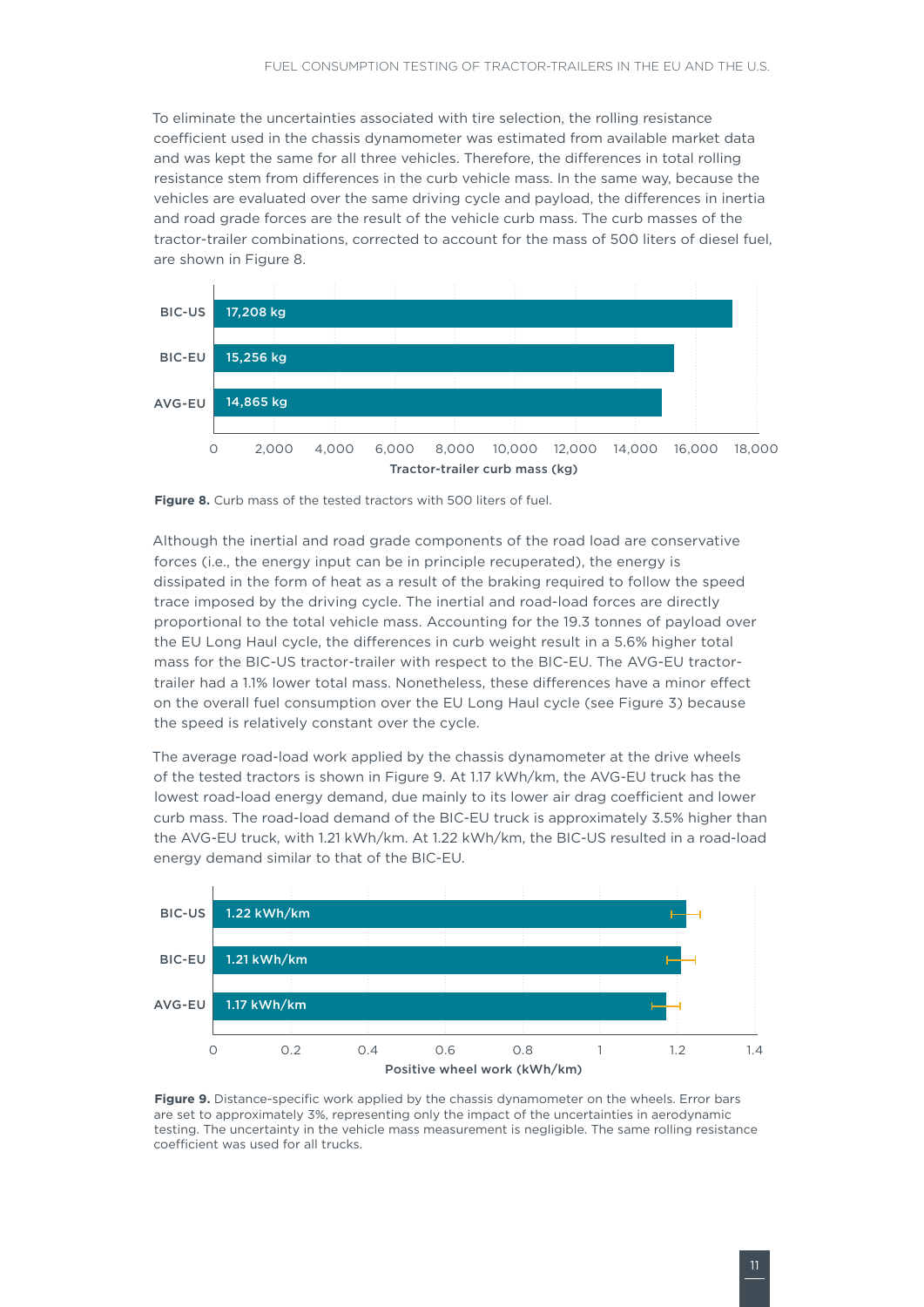To eliminate the uncertainties associated with tire selection, the rolling resistance coefficient used in the chassis dynamometer was estimated from available market data and was kept the same for all three vehicles. Therefore, the differences in total rolling resistance stem from differences in the curb vehicle mass. In the same way, because the vehicles are evaluated over the same driving cycle and payload, the differences in inertia and road grade forces are the result of the vehicle curb mass. The curb masses of the tractor-trailer combinations, corrected to account for the mass of 500 liters of diesel fuel, are shown in [Figure](#page-10-0) 8.



<span id="page-10-0"></span>

Although the inertial and road grade components of the road load are conservative forces (i.e., the energy input can be in principle recuperated), the energy is dissipated in the form of heat as a result of the braking required to follow the speed trace imposed by the driving cycle. The inertial and road-load forces are directly proportional to the total vehicle mass. Accounting for the 19.3 tonnes of payload over the EU Long Haul cycle, the differences in curb weight result in a 5.6% higher total mass for the BIC-US tractor-trailer with respect to the BIC-EU. The AVG-EU tractortrailer had a 1.1% lower total mass. Nonetheless, these differences have a minor effect on the overall fuel consumption over the EU Long Haul cycle (see [Figure 3](#page-7-0)) because the speed is relatively constant over the cycle.

The average road-load work applied by the chassis dynamometer at the drive wheels of the tested tractors is shown in [Figure](#page-10-1) 9. At 1.17 kWh/km, the AVG-EU truck has the lowest road-load energy demand, due mainly to its lower air drag coefficient and lower curb mass. The road-load demand of the BIC-EU truck is approximately 3.5% higher than the AVG-EU truck, with 1.21 kWh/km. At 1.22 kWh/km, the BIC-US resulted in a road-load energy demand similar to that of the BIC-EU.



<span id="page-10-1"></span>**Figure 9.** Distance-specific work applied by the chassis dynamometer on the wheels. Error bars are set to approximately 3%, representing only the impact of the uncertainties in aerodynamic testing. The uncertainty in the vehicle mass measurement is negligible. The same rolling resistance coefficient was used for all trucks.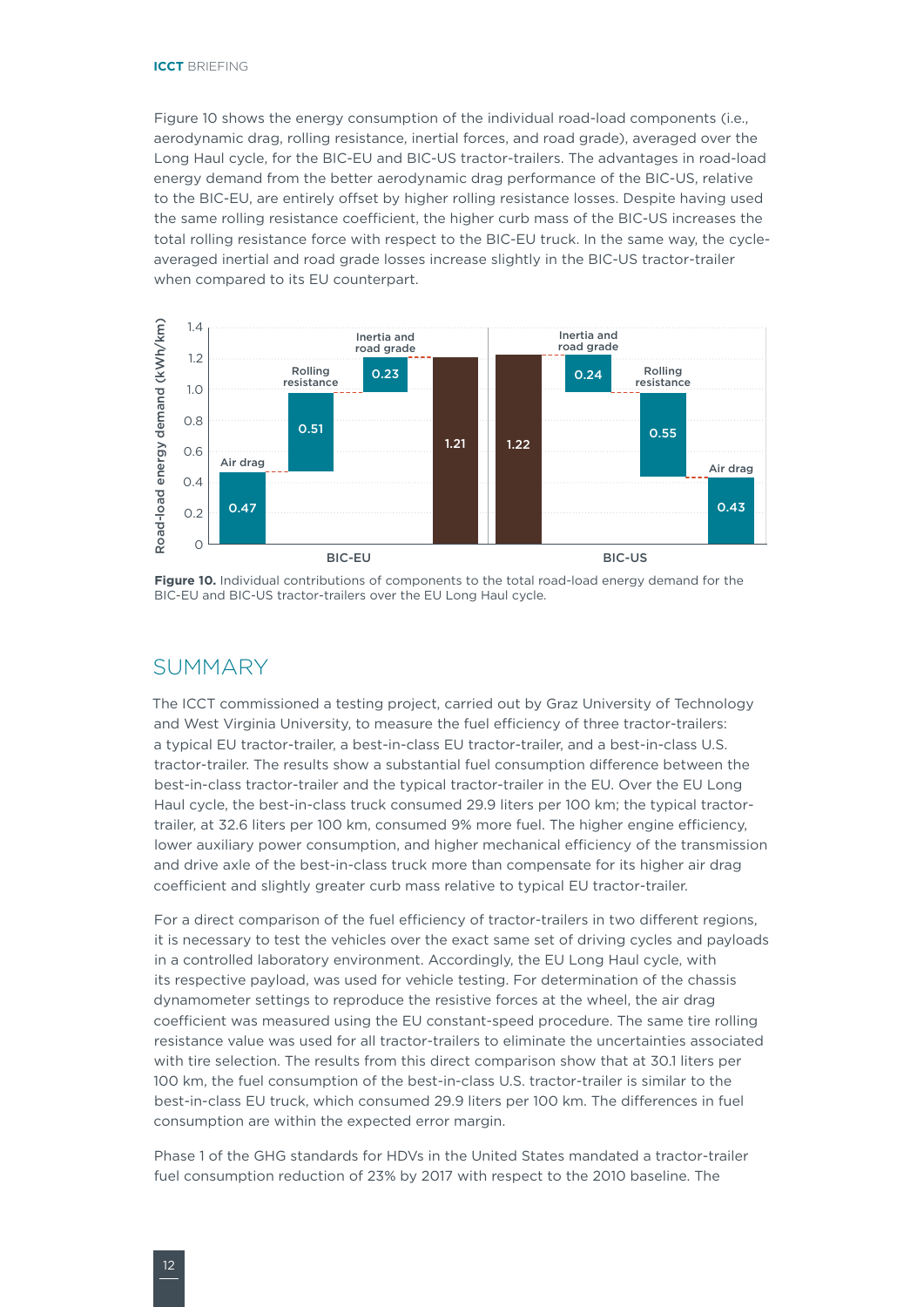[Figure 1](#page-11-0)0 shows the energy consumption of the individual road-load components (i.e., aerodynamic drag, rolling resistance, inertial forces, and road grade), averaged over the Long Haul cycle, for the BIC-EU and BIC-US tractor-trailers. The advantages in road-load energy demand from the better aerodynamic drag performance of the BIC-US, relative to the BIC-EU, are entirely offset by higher rolling resistance losses. Despite having used the same rolling resistance coefficient, the higher curb mass of the BIC-US increases the total rolling resistance force with respect to the BIC-EU truck. In the same way, the cycleaveraged inertial and road grade losses increase slightly in the BIC-US tractor-trailer when compared to its EU counterpart.



<span id="page-11-0"></span>**Figure 10.** Individual contributions of components to the total road-load energy demand for the BIC-EU and BIC-US tractor-trailers over the EU Long Haul cycle.

#### SUMMARY

The ICCT commissioned a testing project, carried out by Graz University of Technology and West Virginia University, to measure the fuel efficiency of three tractor-trailers: a typical EU tractor-trailer, a best-in-class EU tractor-trailer, and a best-in-class U.S. tractor-trailer. The results show a substantial fuel consumption difference between the best-in-class tractor-trailer and the typical tractor-trailer in the EU. Over the EU Long Haul cycle, the best-in-class truck consumed 29.9 liters per 100 km; the typical tractortrailer, at 32.6 liters per 100 km, consumed 9% more fuel. The higher engine efficiency, lower auxiliary power consumption, and higher mechanical efficiency of the transmission and drive axle of the best-in-class truck more than compensate for its higher air drag coefficient and slightly greater curb mass relative to typical EU tractor-trailer.

For a direct comparison of the fuel efficiency of tractor-trailers in two different regions, it is necessary to test the vehicles over the exact same set of driving cycles and payloads in a controlled laboratory environment. Accordingly, the EU Long Haul cycle, with its respective payload, was used for vehicle testing. For determination of the chassis dynamometer settings to reproduce the resistive forces at the wheel, the air drag coefficient was measured using the EU constant-speed procedure. The same tire rolling resistance value was used for all tractor-trailers to eliminate the uncertainties associated with tire selection. The results from this direct comparison show that at 30.1 liters per 100 km, the fuel consumption of the best-in-class U.S. tractor-trailer is similar to the best-in-class EU truck, which consumed 29.9 liters per 100 km. The differences in fuel consumption are within the expected error margin.

Phase 1 of the GHG standards for HDVs in the United States mandated a tractor-trailer fuel consumption reduction of 23% by 2017 with respect to the 2010 baseline. The